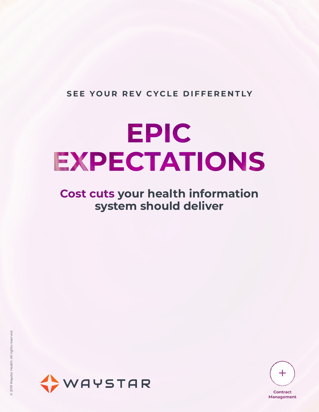#### **SEE YOUR REV CYCLE DIFFERENTLY**

# **EPIC** EXPECTATIONS

## **Cost cuts your health information system should deliver**



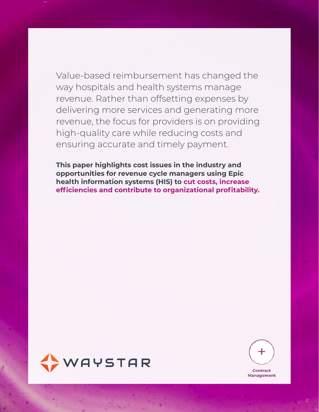Value-based reimbursement has changed the way hospitals and health systems manage revenue. Rather than offsetting expenses by delivering more services and generating more revenue, the focus for providers is on providing high-quality care while reducing costs and ensuring accurate and timely payment.

**This paper highlights cost issues in the industry and opportunities for revenue cycle managers using Epic health information systems (HIS) to cut costs, increase efficiencies and contribute to organizational profitability.**



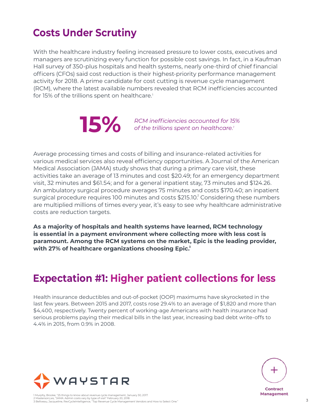# **Costs Under Scrutiny**

With the healthcare industry feeling increased pressure to lower costs, executives and managers are scrutinizing every function for possible cost savings. In fact, in a Kaufman Hall survey of 350-plus hospitals and health systems, nearly one-third of chief financial officers (CFOs) said cost reduction is their highest-priority performance management activity for 2018. A prime candidate for cost cutting is revenue cycle management (RCM), where the latest available numbers revealed that RCM inefficiencies accounted for 15% of the trillions spent on healthcare.<sup>1</sup>



*RCM inefficiencies accounted for 15%* **b of** the trillions spent on healthcare.<sup>1</sup>

Average processing times and costs of billing and insurance-related activities for various medical services also reveal efficiency opportunities. A Journal of the American Medical Association (JAMA) study shows that during a primary care visit, these activities take an average of 13 minutes and cost \$20.49; for an emergency department visit, 32 minutes and \$61.54; and for a general inpatient stay, 73 minutes and \$124.26. An ambulatory surgical procedure averages 75 minutes and costs \$170.40; an inpatient surgical procedure requires 100 minutes and costs  $$215.10<sup>2</sup>$  Considering these numbers are multiplied millions of times every year, it's easy to see why healthcare administrative costs are reduction targets.

**As a majority of hospitals and health systems have learned, RCM technology is essential in a payment environment where collecting more with less cost is paramount. Among the RCM systems on the market, Epic is the leading provider, with 27% of healthcare organizations choosing Epic.3**

# **Expectation #1: Higher patient collections for less**

Health insurance deductibles and out-of-pocket (OOP) maximums have skyrocketed in the last few years. Between 2015 and 2017, costs rose 29.4% to an average of \$1,820 and more than \$4,400, respectively. Twenty percent of working-age Americans with health insurance had serious problems paying their medical bills in the last year, increasing bad debt write-offs to 4.4% in 2015, from 0.9% in 2008.



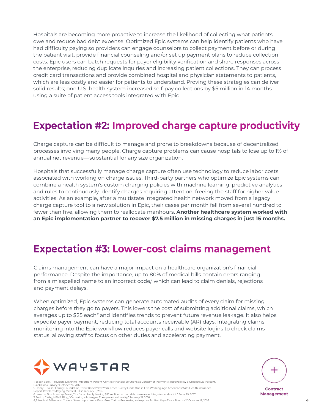Hospitals are becoming more proactive to increase the likelihood of collecting what patients owe and reduce bad debt expense. Optimized Epic systems can help identify patients who have had difficulty paying so providers can engage counselors to collect payment before or during the patient visit, provide financial counseling and/or set up payment plans to reduce collection costs. Epic users can batch requests for payer eligibility verification and share responses across the enterprise, reducing duplicate inquiries and increasing patient collections. They can process credit card transactions and provide combined hospital and physician statements to patients, which are less costly and easier for patients to understand. Proving these strategies can deliver solid results; one U.S. health system increased self-pay collections by \$5 million in 14 months using a suite of patient access tools integrated with Epic.

## **Expectation #2: Improved charge capture productivity**

Charge capture can be difficult to manage and prone to breakdowns because of decentralized processes involving many people. Charge capture problems can cause hospitals to lose up to 1% of annual net revenue—substantial for any size organization.

Hospitals that successfully manage charge capture often use technology to reduce labor costs associated with working on charge issues. Third-party partners who optimize Epic systems can combine a health system's custom charging policies with machine learning, predictive analytics and rules to continuously identify charges requiring attention, freeing the staff for higher-value activities. As an example, after a multistate integrated health network moved from a legacy charge capture tool to a new solution in Epic, their cases per month fell from several hundred to fewer than five, allowing them to reallocate manhours. **Another healthcare system worked with an Epic implementation partner to recover \$7.5 million in missing charges in just 15 months.**

### **Expectation #3: Lower-cost claims management**

Claims management can have a major impact on a healthcare organization's financial performance. Despite the importance, up to 80% of medical bills contain errors ranging from a misspelled name to an incorrect code,<sup>8</sup> which can lead to claim denials, rejections and payment delays.

When optimized, Epic systems can generate automated audits of every claim for missing charges before they go to payers. This lowers the cost of submitting additional claims, which averages up to \$25 each, $^\circ$  and identifies trends to prevent future revenue leakage. It also helps expedite payer payment, reducing total accounts receivable (AR) days. Integrating claims monitoring into the Epic workflow reduces payer calls and website logins to check claims status, allowing staff to focus on other duties and accelerating payment.



.<br>6 Book, "Providers Driven to Implement Patient-Centric Financial Solutions as Consumer Payment Responsibility Skyrockets 29 Percent, Black Book Survey," October 24, 2017. 5 Henry J. Kaiser Family Foundation, "New Kaiser/New York Times Survey Finds One in Five Working-Age Americans With Health Insurance

Report Problems Paying Medical Bills," January 5, 2016. 6 Lazarus, Jim, Advisory Board, "You're probably leaving \$22 million on the table. Here are 4 things to do about it." June 29, 2017.



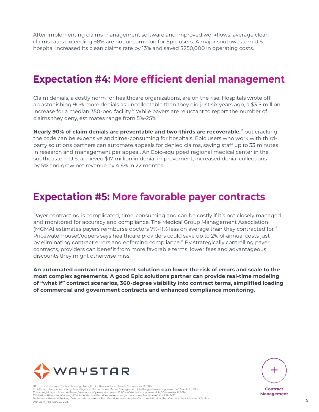After implementing claims management software and improved workflows, average clean claims rates exceeding 98% are not uncommon for Epic users. A major southwestern U.S. hospital increased its clean claims rate by 13% and saved \$250,000 in operating costs.

## **Expectation #4: More efficient denial management**

Claim denials, a costly norm for healthcare organizations, are on the rise. Hospitals wrote off an astonishing 90% more denials as uncollectable than they did just six years ago, a \$3.5 million increase for a median 350-bed facility.<sup>10</sup> While payers are reluctant to report the number of claims they deny, estimates range from  $5\%$ -25%.<sup>11</sup>

**Nearly 90% of claim denials are preventable and two-thirds are recoverable,<sup>12</sup> but cracking** the code can be expensive and time-consuming for hospitals. Epic users who work with thirdparty solutions partners can automate appeals for denied claims, saving staff up to 33 minutes in research and management per appeal. An Epic-equipped regional medical center in the southeastern U.S. achieved \$17 million in denial improvement, increased denial collections by 5% and grew net revenue by 4.6% in 22 months.

#### **Expectation #5: More favorable payer contracts**

Payer contracting is complicated, time-consuming and can be costly if it's not closely managed and monitored for accuracy and compliance. The Medical Group Management Association (MGMA) estimates payers reimburse doctors 7%-11% less on average than they contracted for.<sup>13</sup> PricewaterhouseCoopers says healthcare providers could save up to 2% of annual costs just by eliminating contract errors and enforcing compliance.<sup>14</sup> By strategically controlling payer contracts, providers can benefit from more favorable terms, lower fees and advantageous discounts they might otherwise miss.

**An automated contract management solution can lower the risk of errors and scale to the most complex agreements. A good Epic solutions partner can provide real-time modeling of "what if" contract scenarios, 360-degree visibility into contract terms, simplified loading of commercial and government contracts and enhanced compliance monitoring.**



10 "Hospital Revenue Cycles Showing Strength But Risks Include Denials," November 14, 2017.<br>11 Belliveau, Jacqueline, RevCycleIntelligence, "Top 4 Claims Denial Management Challenges Impacting Revenue," March 10, 2017. 11 Belliveau, Jacqueline, RevCycleIntelligence, "Top 4 Claims Denial Management Challenges Impacting Revenue," March 10, 2017.<br>12 Haines, Morgan, Advisory Board, "An ounce of prevention pays off: 90% of denials are prevent